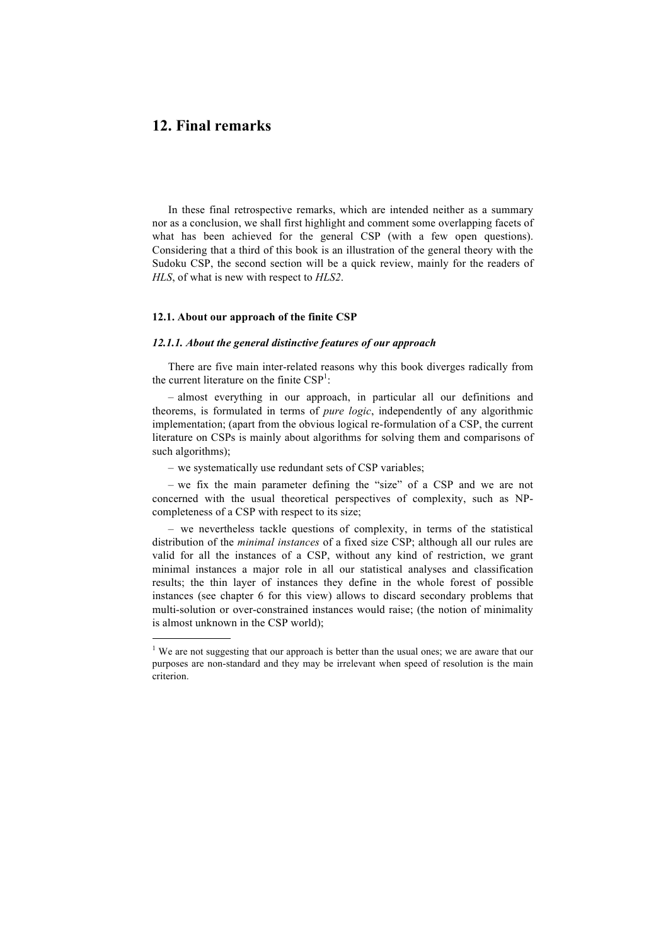# **12. Final remarks**

1

In these final retrospective remarks, which are intended neither as a summary nor as a conclusion, we shall first highlight and comment some overlapping facets of what has been achieved for the general CSP (with a few open questions). Considering that a third of this book is an illustration of the general theory with the Sudoku CSP, the second section will be a quick review, mainly for the readers of *HLS*, of what is new with respect to *HLS2*.

## **12.1. About our approach of the finite CSP**

#### *12.1.1. About the general distinctive features of our approach*

There are five main inter-related reasons why this book diverges radically from the current literature on the finite  $CSP<sup>1</sup>$ :

– almost everything in our approach, in particular all our definitions and theorems, is formulated in terms of *pure logic*, independently of any algorithmic implementation; (apart from the obvious logical re-formulation of a CSP, the current literature on CSPs is mainly about algorithms for solving them and comparisons of such algorithms);

– we systematically use redundant sets of CSP variables;

– we fix the main parameter defining the "size" of a CSP and we are not concerned with the usual theoretical perspectives of complexity, such as NPcompleteness of a CSP with respect to its size;

– we nevertheless tackle questions of complexity, in terms of the statistical distribution of the *minimal instances* of a fixed size CSP; although all our rules are valid for all the instances of a CSP, without any kind of restriction, we grant minimal instances a major role in all our statistical analyses and classification results; the thin layer of instances they define in the whole forest of possible instances (see chapter 6 for this view) allows to discard secondary problems that multi-solution or over-constrained instances would raise; (the notion of minimality is almost unknown in the CSP world);

<sup>&</sup>lt;sup>1</sup> We are not suggesting that our approach is better than the usual ones; we are aware that our purposes are non-standard and they may be irrelevant when speed of resolution is the main criterion.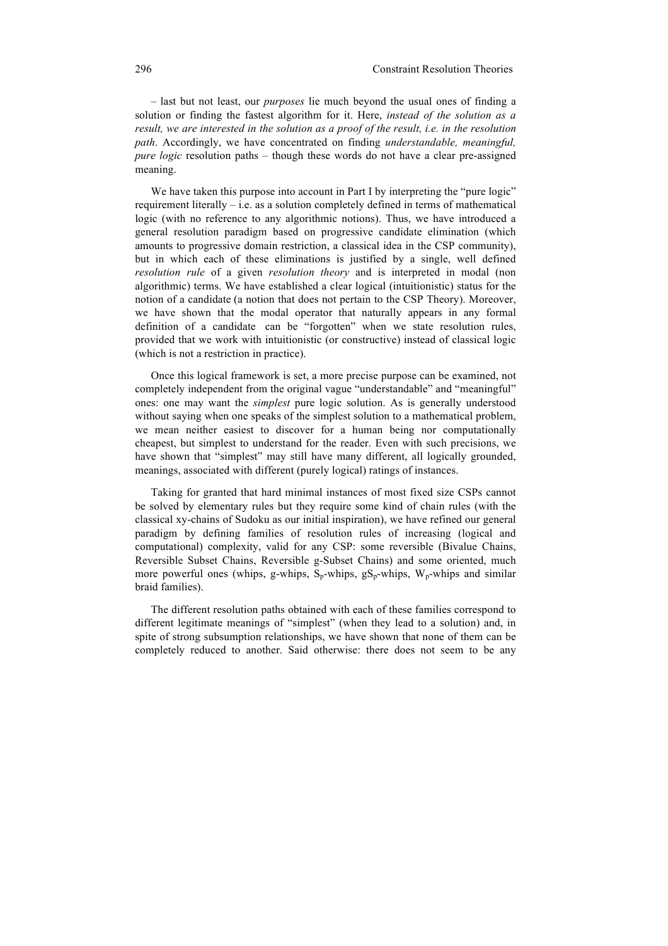– last but not least, our *purposes* lie much beyond the usual ones of finding a solution or finding the fastest algorithm for it. Here, *instead of the solution as a result, we are interested in the solution as a proof of the result, i.e. in the resolution path*. Accordingly, we have concentrated on finding *understandable, meaningful, pure logic* resolution paths – though these words do not have a clear pre-assigned meaning.

We have taken this purpose into account in Part I by interpreting the "pure logic" requirement literally – i.e. as a solution completely defined in terms of mathematical logic (with no reference to any algorithmic notions). Thus, we have introduced a general resolution paradigm based on progressive candidate elimination (which amounts to progressive domain restriction, a classical idea in the CSP community), but in which each of these eliminations is justified by a single, well defined *resolution rule* of a given *resolution theory* and is interpreted in modal (non algorithmic) terms. We have established a clear logical (intuitionistic) status for the notion of a candidate (a notion that does not pertain to the CSP Theory). Moreover, we have shown that the modal operator that naturally appears in any formal definition of a candidate can be "forgotten" when we state resolution rules, provided that we work with intuitionistic (or constructive) instead of classical logic (which is not a restriction in practice).

Once this logical framework is set, a more precise purpose can be examined, not completely independent from the original vague "understandable" and "meaningful" ones: one may want the *simplest* pure logic solution. As is generally understood without saying when one speaks of the simplest solution to a mathematical problem. we mean neither easiest to discover for a human being nor computationally cheapest, but simplest to understand for the reader. Even with such precisions, we have shown that "simplest" may still have many different, all logically grounded, meanings, associated with different (purely logical) ratings of instances.

Taking for granted that hard minimal instances of most fixed size CSPs cannot be solved by elementary rules but they require some kind of chain rules (with the classical xy-chains of Sudoku as our initial inspiration), we have refined our general paradigm by defining families of resolution rules of increasing (logical and computational) complexity, valid for any CSP: some reversible (Bivalue Chains, Reversible Subset Chains, Reversible g-Subset Chains) and some oriented, much more powerful ones (whips, g-whips,  $S_n$ -whips,  $gS_n$ -whips, W<sub>n</sub>-whips and similar braid families).

The different resolution paths obtained with each of these families correspond to different legitimate meanings of "simplest" (when they lead to a solution) and, in spite of strong subsumption relationships, we have shown that none of them can be completely reduced to another. Said otherwise: there does not seem to be any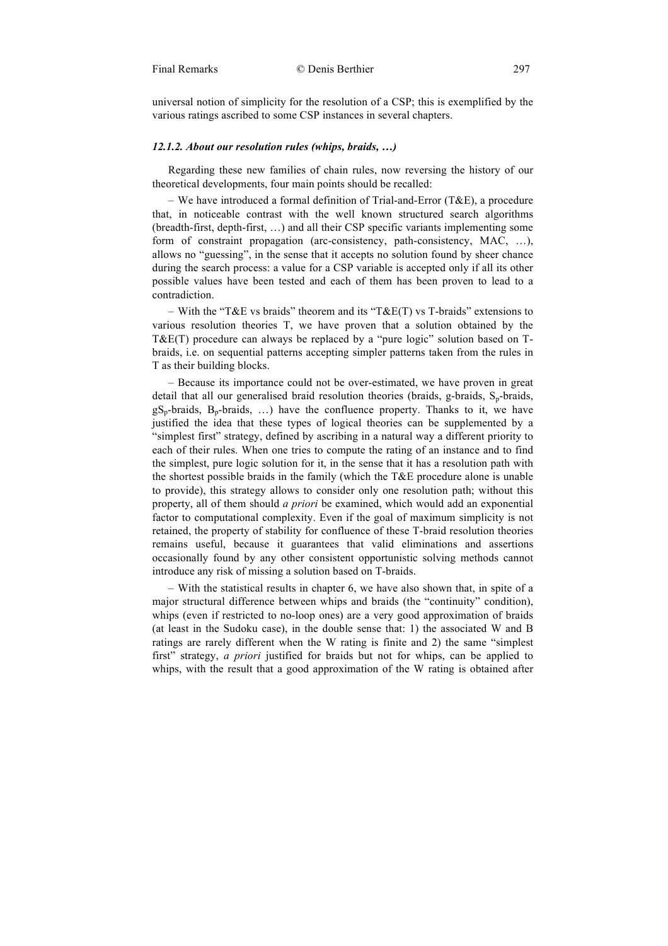universal notion of simplicity for the resolution of a CSP; this is exemplified by the various ratings ascribed to some CSP instances in several chapters.

# *12.1.2. About our resolution rules (whips, braids, …)*

Regarding these new families of chain rules, now reversing the history of our theoretical developments, four main points should be recalled:

– We have introduced a formal definition of Trial-and-Error (T&E), a procedure that, in noticeable contrast with the well known structured search algorithms (breadth-first, depth-first, …) and all their CSP specific variants implementing some form of constraint propagation (arc-consistency, path-consistency, MAC, ...), allows no "guessing", in the sense that it accepts no solution found by sheer chance during the search process: a value for a CSP variable is accepted only if all its other possible values have been tested and each of them has been proven to lead to a contradiction.

– With the "T&E vs braids" theorem and its "T&E(T) vs T-braids" extensions to various resolution theories T, we have proven that a solution obtained by the T&E(T) procedure can always be replaced by a "pure logic" solution based on Tbraids, i.e. on sequential patterns accepting simpler patterns taken from the rules in T as their building blocks.

– Because its importance could not be over-estimated, we have proven in great detail that all our generalised braid resolution theories (braids,  $g$ -braids,  $S_n$ -braids,  $gS_p$ -braids,  $B_p$ -braids, ...) have the confluence property. Thanks to it, we have justified the idea that these types of logical theories can be supplemented by a "simplest first" strategy, defined by ascribing in a natural way a different priority to each of their rules. When one tries to compute the rating of an instance and to find the simplest, pure logic solution for it, in the sense that it has a resolution path with the shortest possible braids in the family (which the T&E procedure alone is unable to provide), this strategy allows to consider only one resolution path; without this property, all of them should *a priori* be examined, which would add an exponential factor to computational complexity. Even if the goal of maximum simplicity is not retained, the property of stability for confluence of these T-braid resolution theories remains useful, because it guarantees that valid eliminations and assertions occasionally found by any other consistent opportunistic solving methods cannot introduce any risk of missing a solution based on T-braids.

– With the statistical results in chapter 6, we have also shown that, in spite of a major structural difference between whips and braids (the "continuity" condition), whips (even if restricted to no-loop ones) are a very good approximation of braids (at least in the Sudoku case), in the double sense that: 1) the associated W and B ratings are rarely different when the W rating is finite and 2) the same "simplest first" strategy, *a priori* justified for braids but not for whips, can be applied to whips, with the result that a good approximation of the W rating is obtained after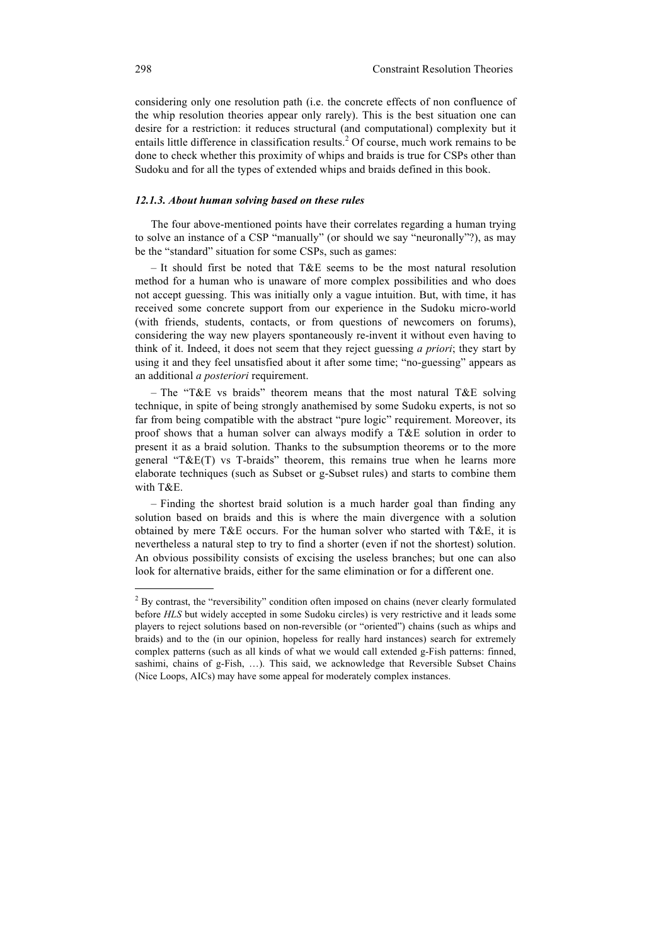considering only one resolution path (i.e. the concrete effects of non confluence of the whip resolution theories appear only rarely). This is the best situation one can desire for a restriction: it reduces structural (and computational) complexity but it entails little difference in classification results.<sup>2</sup> Of course, much work remains to be done to check whether this proximity of whips and braids is true for CSPs other than Sudoku and for all the types of extended whips and braids defined in this book.

#### *12.1.3. About human solving based on these rules*

The four above-mentioned points have their correlates regarding a human trying to solve an instance of a CSP "manually" (or should we say "neuronally"?), as may be the "standard" situation for some CSPs, such as games:

– It should first be noted that  $T\&E$  seems to be the most natural resolution method for a human who is unaware of more complex possibilities and who does not accept guessing. This was initially only a vague intuition. But, with time, it has received some concrete support from our experience in the Sudoku micro-world (with friends, students, contacts, or from questions of newcomers on forums), considering the way new players spontaneously re-invent it without even having to think of it. Indeed, it does not seem that they reject guessing *a priori*; they start by using it and they feel unsatisfied about it after some time; "no-guessing" appears as an additional *a posteriori* requirement.

– The "T&E vs braids" theorem means that the most natural T&E solving technique, in spite of being strongly anathemised by some Sudoku experts, is not so far from being compatible with the abstract "pure logic" requirement. Moreover, its proof shows that a human solver can always modify a T&E solution in order to present it as a braid solution. Thanks to the subsumption theorems or to the more general "T&E(T) vs T-braids" theorem, this remains true when he learns more elaborate techniques (such as Subset or g-Subset rules) and starts to combine them with T&E.

– Finding the shortest braid solution is a much harder goal than finding any solution based on braids and this is where the main divergence with a solution obtained by mere T&E occurs. For the human solver who started with T&E, it is nevertheless a natural step to try to find a shorter (even if not the shortest) solution. An obvious possibility consists of excising the useless branches; but one can also look for alternative braids, either for the same elimination or for a different one.

1

<sup>&</sup>lt;sup>2</sup> By contrast, the "reversibility" condition often imposed on chains (never clearly formulated before *HLS* but widely accepted in some Sudoku circles) is very restrictive and it leads some players to reject solutions based on non-reversible (or "oriented") chains (such as whips and braids) and to the (in our opinion, hopeless for really hard instances) search for extremely complex patterns (such as all kinds of what we would call extended g-Fish patterns: finned, sashimi, chains of g-Fish, …). This said, we acknowledge that Reversible Subset Chains (Nice Loops, AICs) may have some appeal for moderately complex instances.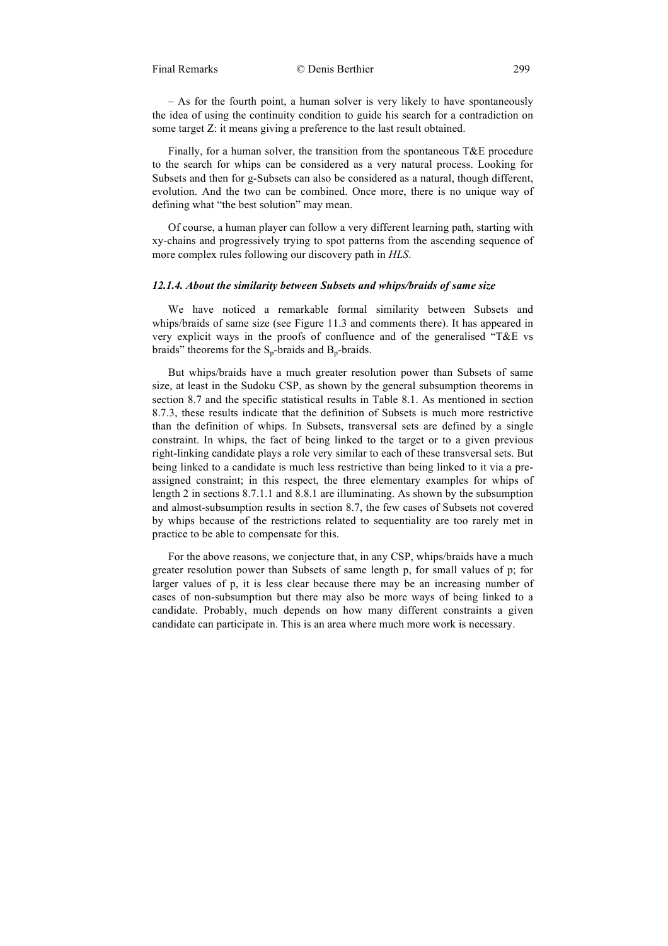– As for the fourth point, a human solver is very likely to have spontaneously the idea of using the continuity condition to guide his search for a contradiction on some target Z: it means giving a preference to the last result obtained.

Finally, for a human solver, the transition from the spontaneous  $T\&E$  procedure to the search for whips can be considered as a very natural process. Looking for Subsets and then for g-Subsets can also be considered as a natural, though different, evolution. And the two can be combined. Once more, there is no unique way of defining what "the best solution" may mean.

Of course, a human player can follow a very different learning path, starting with xy-chains and progressively trying to spot patterns from the ascending sequence of more complex rules following our discovery path in *HLS*.

#### *12.1.4. About the similarity between Subsets and whips/braids of same size*

We have noticed a remarkable formal similarity between Subsets and whips/braids of same size (see Figure 11.3 and comments there). It has appeared in very explicit ways in the proofs of confluence and of the generalised "T&E vs braids" theorems for the  $S_p$ -braids and  $B_p$ -braids.

But whips/braids have a much greater resolution power than Subsets of same size, at least in the Sudoku CSP, as shown by the general subsumption theorems in section 8.7 and the specific statistical results in Table 8.1. As mentioned in section 8.7.3, these results indicate that the definition of Subsets is much more restrictive than the definition of whips. In Subsets, transversal sets are defined by a single constraint. In whips, the fact of being linked to the target or to a given previous right-linking candidate plays a role very similar to each of these transversal sets. But being linked to a candidate is much less restrictive than being linked to it via a preassigned constraint; in this respect, the three elementary examples for whips of length 2 in sections 8.7.1.1 and 8.8.1 are illuminating. As shown by the subsumption and almost-subsumption results in section 8.7, the few cases of Subsets not covered by whips because of the restrictions related to sequentiality are too rarely met in practice to be able to compensate for this.

For the above reasons, we conjecture that, in any CSP, whips/braids have a much greater resolution power than Subsets of same length p, for small values of p; for larger values of p, it is less clear because there may be an increasing number of cases of non-subsumption but there may also be more ways of being linked to a candidate. Probably, much depends on how many different constraints a given candidate can participate in. This is an area where much more work is necessary.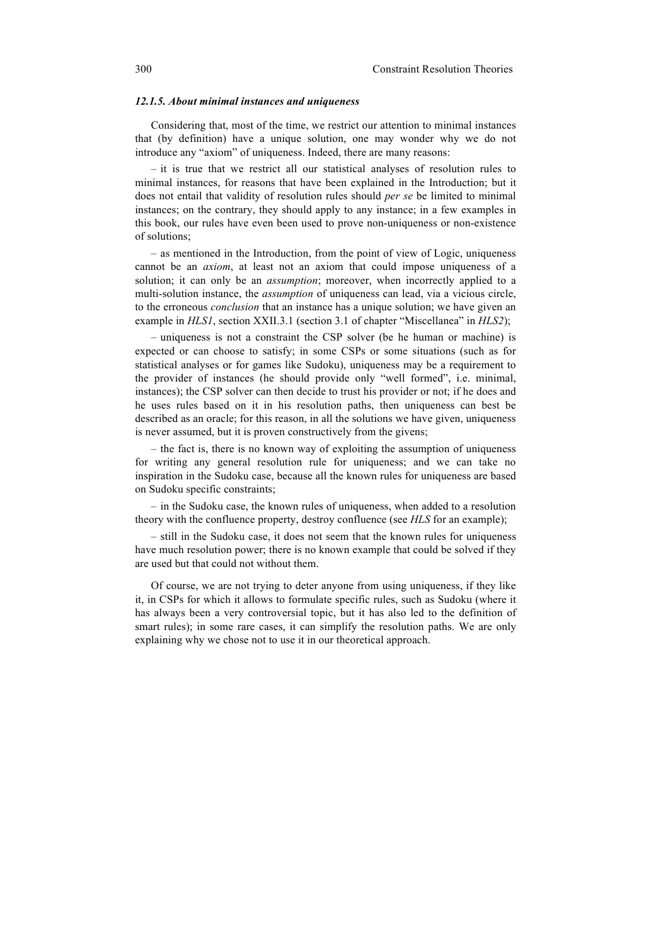#### *12.1.5. About minimal instances and uniqueness*

Considering that, most of the time, we restrict our attention to minimal instances that (by definition) have a unique solution, one may wonder why we do not introduce any "axiom" of uniqueness. Indeed, there are many reasons:

– it is true that we restrict all our statistical analyses of resolution rules to minimal instances, for reasons that have been explained in the Introduction; but it does not entail that validity of resolution rules should *per se* be limited to minimal instances; on the contrary, they should apply to any instance; in a few examples in this book, our rules have even been used to prove non-uniqueness or non-existence of solutions;

– as mentioned in the Introduction, from the point of view of Logic, uniqueness cannot be an *axiom*, at least not an axiom that could impose uniqueness of a solution; it can only be an *assumption*; moreover, when incorrectly applied to a multi-solution instance, the *assumption* of uniqueness can lead, via a vicious circle, to the erroneous *conclusion* that an instance has a unique solution; we have given an example in *HLS1*, section XXII.3.1 (section 3.1 of chapter "Miscellanea" in *HLS2*);

– uniqueness is not a constraint the CSP solver (be he human or machine) is expected or can choose to satisfy; in some CSPs or some situations (such as for statistical analyses or for games like Sudoku), uniqueness may be a requirement to the provider of instances (he should provide only "well formed", i.e. minimal, instances); the CSP solver can then decide to trust his provider or not; if he does and he uses rules based on it in his resolution paths, then uniqueness can best be described as an oracle; for this reason, in all the solutions we have given, uniqueness is never assumed, but it is proven constructively from the givens;

– the fact is, there is no known way of exploiting the assumption of uniqueness for writing any general resolution rule for uniqueness; and we can take no inspiration in the Sudoku case, because all the known rules for uniqueness are based on Sudoku specific constraints;

– in the Sudoku case, the known rules of uniqueness, when added to a resolution theory with the confluence property, destroy confluence (see *HLS* for an example);

– still in the Sudoku case, it does not seem that the known rules for uniqueness have much resolution power; there is no known example that could be solved if they are used but that could not without them.

Of course, we are not trying to deter anyone from using uniqueness, if they like it, in CSPs for which it allows to formulate specific rules, such as Sudoku (where it has always been a very controversial topic, but it has also led to the definition of smart rules); in some rare cases, it can simplify the resolution paths. We are only explaining why we chose not to use it in our theoretical approach.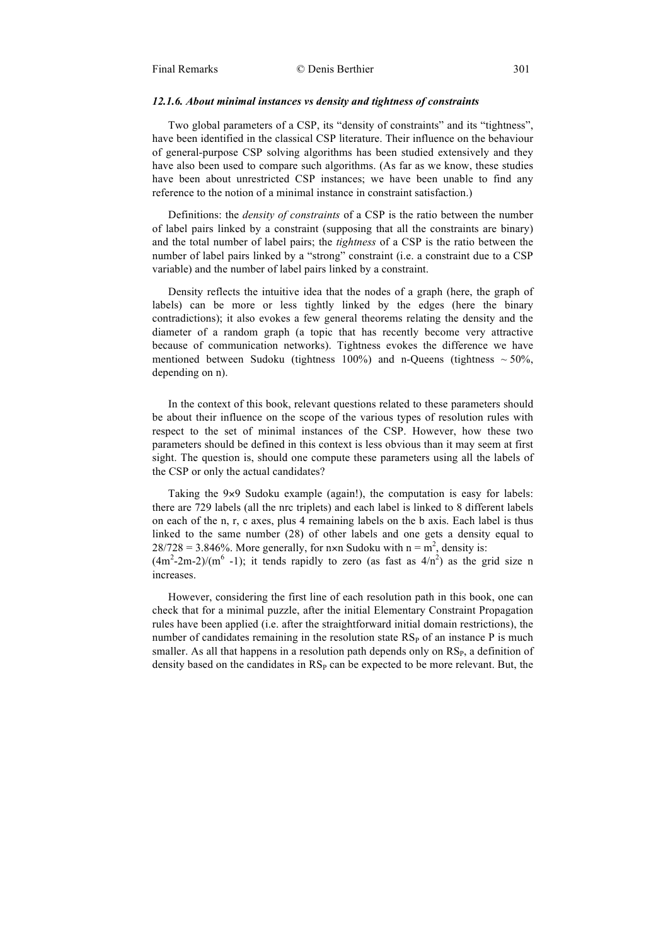# *12.1.6. About minimal instances vs density and tightness of constraints*

Two global parameters of a CSP, its "density of constraints" and its "tightness", have been identified in the classical CSP literature. Their influence on the behaviour of general-purpose CSP solving algorithms has been studied extensively and they have also been used to compare such algorithms. (As far as we know, these studies have been about unrestricted CSP instances; we have been unable to find any reference to the notion of a minimal instance in constraint satisfaction.)

Definitions: the *density of constraints* of a CSP is the ratio between the number of label pairs linked by a constraint (supposing that all the constraints are binary) and the total number of label pairs; the *tightness* of a CSP is the ratio between the number of label pairs linked by a "strong" constraint (i.e. a constraint due to a CSP variable) and the number of label pairs linked by a constraint.

Density reflects the intuitive idea that the nodes of a graph (here, the graph of labels) can be more or less tightly linked by the edges (here the binary contradictions); it also evokes a few general theorems relating the density and the diameter of a random graph (a topic that has recently become very attractive because of communication networks). Tightness evokes the difference we have mentioned between Sudoku (tightness 100%) and n-Queens (tightness  $\sim$  50%, depending on n).

In the context of this book, relevant questions related to these parameters should be about their influence on the scope of the various types of resolution rules with respect to the set of minimal instances of the CSP. However, how these two parameters should be defined in this context is less obvious than it may seem at first sight. The question is, should one compute these parameters using all the labels of the CSP or only the actual candidates?

Taking the 9×9 Sudoku example (again!), the computation is easy for labels: there are 729 labels (all the nrc triplets) and each label is linked to 8 different labels on each of the n, r, c axes, plus 4 remaining labels on the b axis. Each label is thus linked to the same number (28) of other labels and one gets a density equal to  $28/728 = 3.846\%$ . More generally, for n×n Sudoku with n = m<sup>2</sup>, density is:  $(4m^2-2m-2)/(m^6 - 1)$ ; it tends rapidly to zero (as fast as  $4/n^2$ ) as the grid size n

increases.

However, considering the first line of each resolution path in this book, one can check that for a minimal puzzle, after the initial Elementary Constraint Propagation rules have been applied (i.e. after the straightforward initial domain restrictions), the number of candidates remaining in the resolution state  $RS<sub>P</sub>$  of an instance P is much smaller. As all that happens in a resolution path depends only on  $RS<sub>P</sub>$ , a definition of density based on the candidates in  $RS<sub>P</sub>$  can be expected to be more relevant. But, the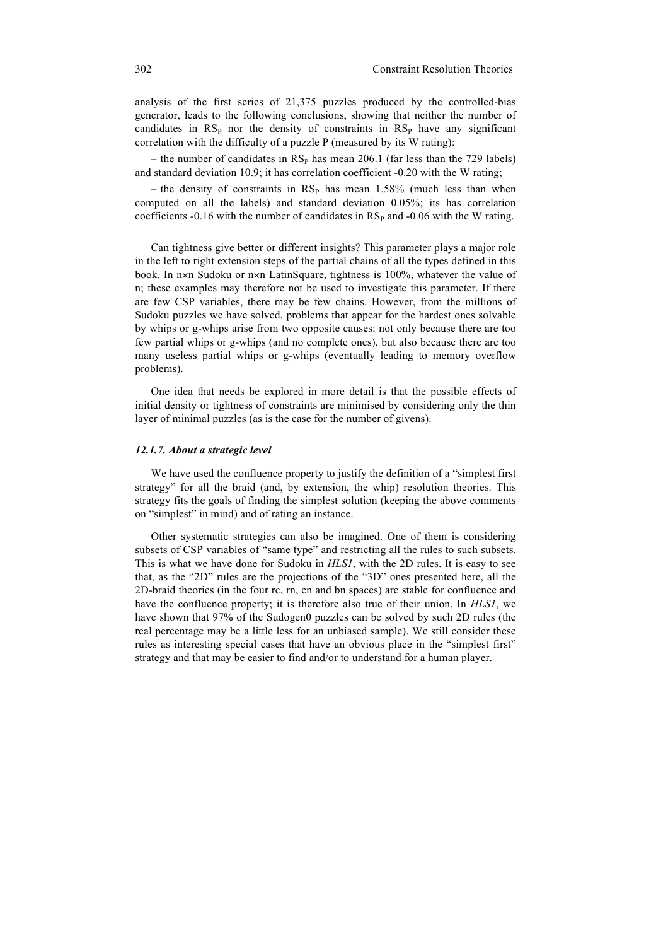analysis of the first series of 21,375 puzzles produced by the controlled-bias generator, leads to the following conclusions, showing that neither the number of candidates in  $RS<sub>P</sub>$  nor the density of constraints in  $RS<sub>P</sub>$  have any significant correlation with the difficulty of a puzzle P (measured by its W rating):

– the number of candidates in  $RS<sub>P</sub>$  has mean 206.1 (far less than the 729 labels) and standard deviation 10.9; it has correlation coefficient -0.20 with the W rating;

– the density of constraints in  $RS_P$  has mean 1.58% (much less than when computed on all the labels) and standard deviation 0.05%; its has correlation coefficients -0.16 with the number of candidates in  $RS<sub>P</sub>$  and -0.06 with the W rating.

Can tightness give better or different insights? This parameter plays a major role in the left to right extension steps of the partial chains of all the types defined in this book. In n×n Sudoku or n×n LatinSquare, tightness is 100%, whatever the value of n; these examples may therefore not be used to investigate this parameter. If there are few CSP variables, there may be few chains. However, from the millions of Sudoku puzzles we have solved, problems that appear for the hardest ones solvable by whips or g-whips arise from two opposite causes: not only because there are too few partial whips or g-whips (and no complete ones), but also because there are too many useless partial whips or g-whips (eventually leading to memory overflow problems).

One idea that needs be explored in more detail is that the possible effects of initial density or tightness of constraints are minimised by considering only the thin layer of minimal puzzles (as is the case for the number of givens).

## *12.1.7. About a strategic level*

We have used the confluence property to justify the definition of a "simplest first strategy" for all the braid (and, by extension, the whip) resolution theories. This strategy fits the goals of finding the simplest solution (keeping the above comments on "simplest" in mind) and of rating an instance.

Other systematic strategies can also be imagined. One of them is considering subsets of CSP variables of "same type" and restricting all the rules to such subsets. This is what we have done for Sudoku in *HLS1*, with the 2D rules. It is easy to see that, as the "2D" rules are the projections of the "3D" ones presented here, all the 2D-braid theories (in the four rc, rn, cn and bn spaces) are stable for confluence and have the confluence property; it is therefore also true of their union. In *HLS1*, we have shown that 97% of the Sudogen0 puzzles can be solved by such 2D rules (the real percentage may be a little less for an unbiased sample). We still consider these rules as interesting special cases that have an obvious place in the "simplest first" strategy and that may be easier to find and/or to understand for a human player.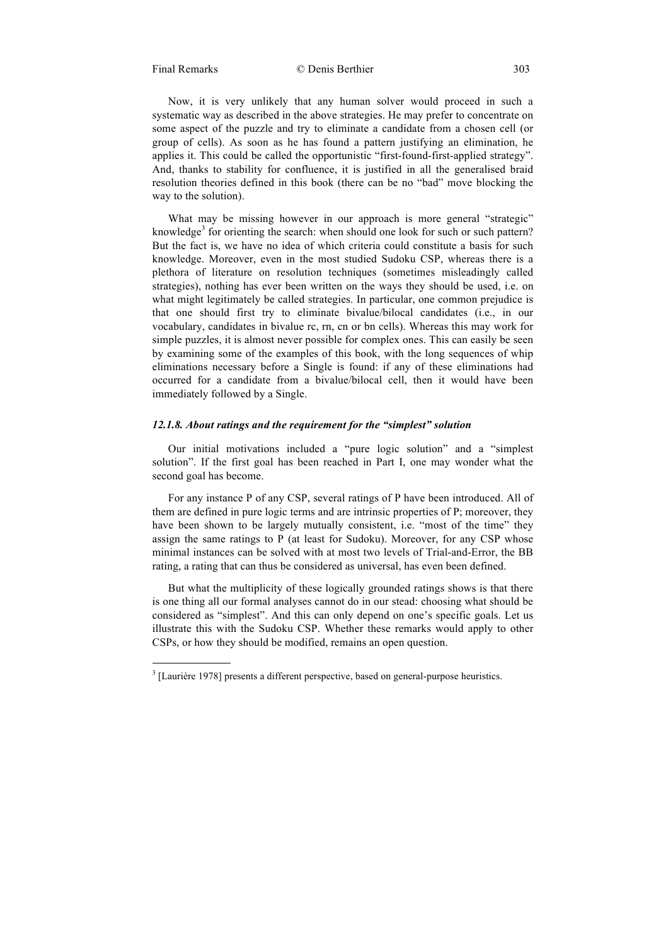1

Now, it is very unlikely that any human solver would proceed in such a systematic way as described in the above strategies. He may prefer to concentrate on some aspect of the puzzle and try to eliminate a candidate from a chosen cell (or group of cells). As soon as he has found a pattern justifying an elimination, he applies it. This could be called the opportunistic "first-found-first-applied strategy". And, thanks to stability for confluence, it is justified in all the generalised braid resolution theories defined in this book (there can be no "bad" move blocking the way to the solution).

What may be missing however in our approach is more general "strategic" knowledge<sup>3</sup> for orienting the search: when should one look for such or such pattern? But the fact is, we have no idea of which criteria could constitute a basis for such knowledge. Moreover, even in the most studied Sudoku CSP, whereas there is a plethora of literature on resolution techniques (sometimes misleadingly called strategies), nothing has ever been written on the ways they should be used, i.e. on what might legitimately be called strategies. In particular, one common prejudice is that one should first try to eliminate bivalue/bilocal candidates (i.e., in our vocabulary, candidates in bivalue rc, rn, cn or bn cells). Whereas this may work for simple puzzles, it is almost never possible for complex ones. This can easily be seen by examining some of the examples of this book, with the long sequences of whip eliminations necessary before a Single is found: if any of these eliminations had occurred for a candidate from a bivalue/bilocal cell, then it would have been immediately followed by a Single.

## *12.1.8. About ratings and the requirement for the "simplest" solution*

Our initial motivations included a "pure logic solution" and a "simplest solution". If the first goal has been reached in Part I, one may wonder what the second goal has become.

For any instance P of any CSP, several ratings of P have been introduced. All of them are defined in pure logic terms and are intrinsic properties of P; moreover, they have been shown to be largely mutually consistent, i.e. "most of the time" they assign the same ratings to P (at least for Sudoku). Moreover, for any CSP whose minimal instances can be solved with at most two levels of Trial-and-Error, the BB rating, a rating that can thus be considered as universal, has even been defined.

But what the multiplicity of these logically grounded ratings shows is that there is one thing all our formal analyses cannot do in our stead: choosing what should be considered as "simplest". And this can only depend on one's specific goals. Let us illustrate this with the Sudoku CSP. Whether these remarks would apply to other CSPs, or how they should be modified, remains an open question.

 $3$  [Laurière 1978] presents a different perspective, based on general-purpose heuristics.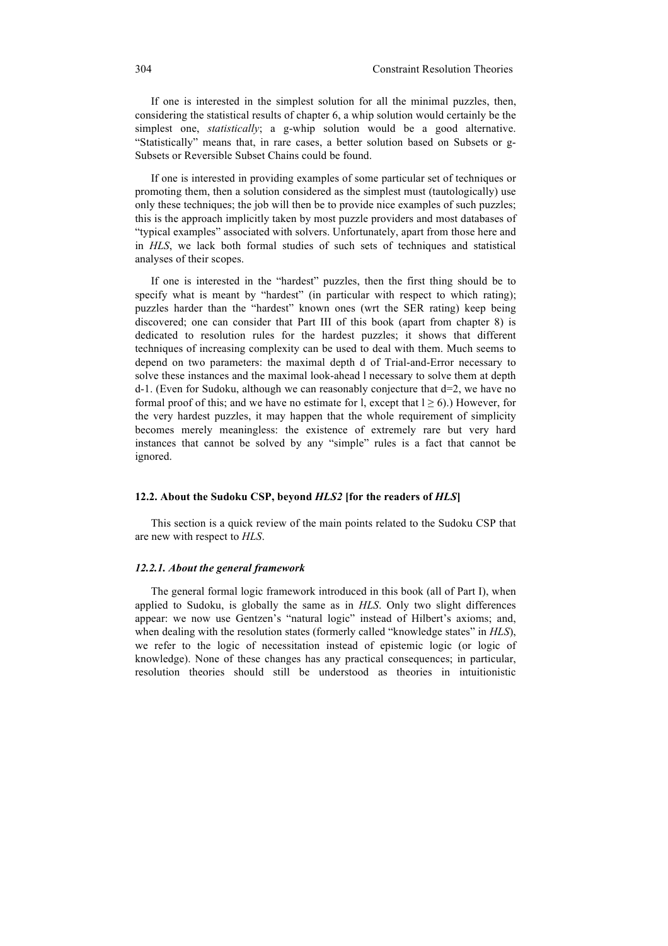If one is interested in the simplest solution for all the minimal puzzles, then, considering the statistical results of chapter 6, a whip solution would certainly be the simplest one, *statistically*; a g-whip solution would be a good alternative. "Statistically" means that, in rare cases, a better solution based on Subsets or g-Subsets or Reversible Subset Chains could be found.

If one is interested in providing examples of some particular set of techniques or promoting them, then a solution considered as the simplest must (tautologically) use only these techniques; the job will then be to provide nice examples of such puzzles; this is the approach implicitly taken by most puzzle providers and most databases of "typical examples" associated with solvers. Unfortunately, apart from those here and in *HLS*, we lack both formal studies of such sets of techniques and statistical analyses of their scopes.

If one is interested in the "hardest" puzzles, then the first thing should be to specify what is meant by "hardest" (in particular with respect to which rating); puzzles harder than the "hardest" known ones (wrt the SER rating) keep being discovered; one can consider that Part III of this book (apart from chapter 8) is dedicated to resolution rules for the hardest puzzles; it shows that different techniques of increasing complexity can be used to deal with them. Much seems to depend on two parameters: the maximal depth d of Trial-and-Error necessary to solve these instances and the maximal look-ahead l necessary to solve them at depth d-1. (Even for Sudoku, although we can reasonably conjecture that d=2, we have no formal proof of this; and we have no estimate for l, except that  $l \ge 6$ ).) However, for the very hardest puzzles, it may happen that the whole requirement of simplicity becomes merely meaningless: the existence of extremely rare but very hard instances that cannot be solved by any "simple" rules is a fact that cannot be ignored.

# **12.2. About the Sudoku CSP, beyond** *HLS2* **[for the readers of** *HLS***]**

This section is a quick review of the main points related to the Sudoku CSP that are new with respect to *HLS*.

### *12.2.1. About the general framework*

The general formal logic framework introduced in this book (all of Part I), when applied to Sudoku, is globally the same as in *HLS*. Only two slight differences appear: we now use Gentzen's "natural logic" instead of Hilbert's axioms; and, when dealing with the resolution states (formerly called "knowledge states" in *HLS*), we refer to the logic of necessitation instead of epistemic logic (or logic of knowledge). None of these changes has any practical consequences; in particular, resolution theories should still be understood as theories in intuitionistic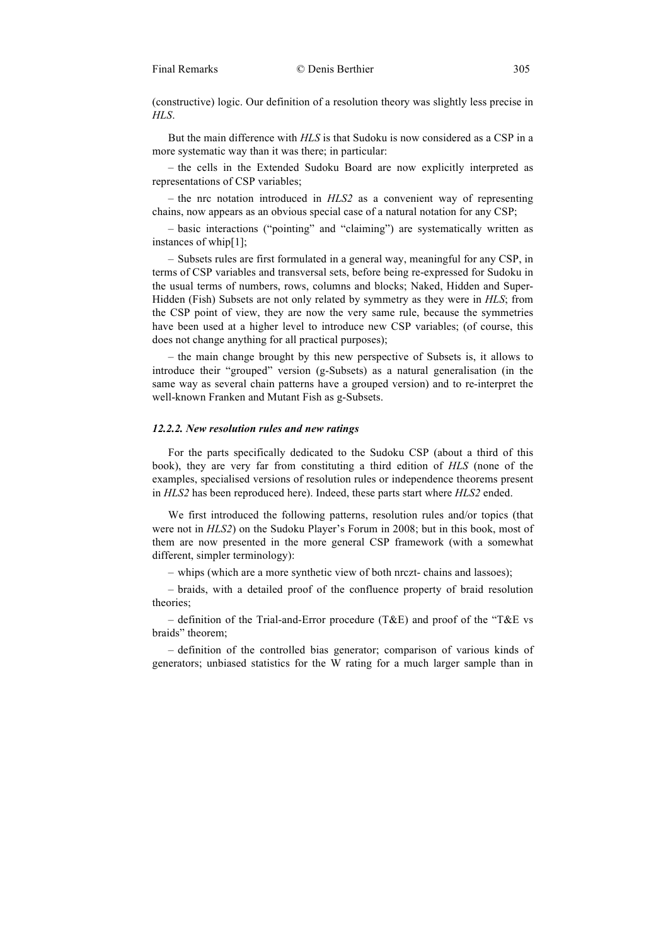(constructive) logic. Our definition of a resolution theory was slightly less precise in *HLS*.

But the main difference with *HLS* is that Sudoku is now considered as a CSP in a more systematic way than it was there; in particular:

– the cells in the Extended Sudoku Board are now explicitly interpreted as representations of CSP variables;

– the nrc notation introduced in *HLS2* as a convenient way of representing chains, now appears as an obvious special case of a natural notation for any CSP;

– basic interactions ("pointing" and "claiming") are systematically written as instances of whip[1];

– Subsets rules are first formulated in a general way, meaningful for any CSP, in terms of CSP variables and transversal sets, before being re-expressed for Sudoku in the usual terms of numbers, rows, columns and blocks; Naked, Hidden and Super-Hidden (Fish) Subsets are not only related by symmetry as they were in *HLS*; from the CSP point of view, they are now the very same rule, because the symmetries have been used at a higher level to introduce new CSP variables; (of course, this does not change anything for all practical purposes);

– the main change brought by this new perspective of Subsets is, it allows to introduce their "grouped" version (g-Subsets) as a natural generalisation (in the same way as several chain patterns have a grouped version) and to re-interpret the well-known Franken and Mutant Fish as g-Subsets.

# *12.2.2. New resolution rules and new ratings*

For the parts specifically dedicated to the Sudoku CSP (about a third of this book), they are very far from constituting a third edition of *HLS* (none of the examples, specialised versions of resolution rules or independence theorems present in *HLS2* has been reproduced here). Indeed, these parts start where *HLS2* ended.

We first introduced the following patterns, resolution rules and/or topics (that were not in *HLS2*) on the Sudoku Player's Forum in 2008; but in this book, most of them are now presented in the more general CSP framework (with a somewhat different, simpler terminology):

– whips (which are a more synthetic view of both nrczt- chains and lassoes);

– braids, with a detailed proof of the confluence property of braid resolution theories;

– definition of the Trial-and-Error procedure (T&E) and proof of the "T&E vs braids" theorem;

– definition of the controlled bias generator; comparison of various kinds of generators; unbiased statistics for the W rating for a much larger sample than in